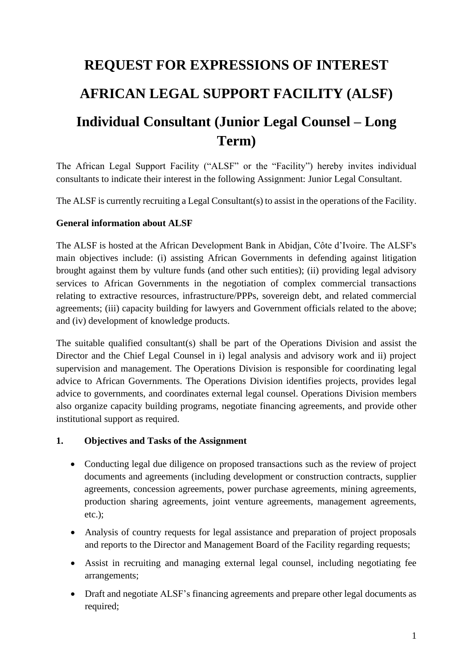# **REQUEST FOR EXPRESSIONS OF INTEREST AFRICAN LEGAL SUPPORT FACILITY (ALSF) Individual Consultant (Junior Legal Counsel – Long Term)**

The African Legal Support Facility ("ALSF" or the "Facility") hereby invites individual consultants to indicate their interest in the following Assignment: Junior Legal Consultant.

The ALSF is currently recruiting a Legal Consultant(s) to assist in the operations of the Facility.

#### **General information about ALSF**

The ALSF is hosted at the African Development Bank in Abidjan, Côte d'Ivoire. The ALSF's main objectives include: (i) assisting African Governments in defending against litigation brought against them by vulture funds (and other such entities); (ii) providing legal advisory services to African Governments in the negotiation of complex commercial transactions relating to extractive resources, infrastructure/PPPs, sovereign debt, and related commercial agreements; (iii) capacity building for lawyers and Government officials related to the above; and (iv) development of knowledge products.

The suitable qualified consultant(s) shall be part of the Operations Division and assist the Director and the Chief Legal Counsel in i) legal analysis and advisory work and ii) project supervision and management. The Operations Division is responsible for coordinating legal advice to African Governments. The Operations Division identifies projects, provides legal advice to governments, and coordinates external legal counsel. Operations Division members also organize capacity building programs, negotiate financing agreements, and provide other institutional support as required.

#### **1. Objectives and Tasks of the Assignment**

- Conducting legal due diligence on proposed transactions such as the review of project documents and agreements (including development or construction contracts, supplier agreements, concession agreements, power purchase agreements, mining agreements, production sharing agreements, joint venture agreements, management agreements, etc.);
- Analysis of country requests for legal assistance and preparation of project proposals and reports to the Director and Management Board of the Facility regarding requests;
- Assist in recruiting and managing external legal counsel, including negotiating fee arrangements;
- Draft and negotiate ALSF's financing agreements and prepare other legal documents as required;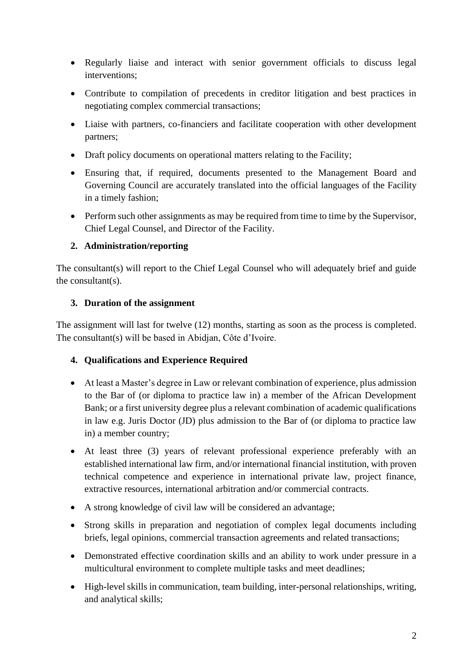- Regularly liaise and interact with senior government officials to discuss legal interventions;
- Contribute to compilation of precedents in creditor litigation and best practices in negotiating complex commercial transactions;
- Liaise with partners, co-financiers and facilitate cooperation with other development partners;
- Draft policy documents on operational matters relating to the Facility;
- Ensuring that, if required, documents presented to the Management Board and Governing Council are accurately translated into the official languages of the Facility in a timely fashion;
- Perform such other assignments as may be required from time to time by the Supervisor, Chief Legal Counsel, and Director of the Facility.

# **2. Administration/reporting**

The consultant(s) will report to the Chief Legal Counsel who will adequately brief and guide the consultant(s).

## **3. Duration of the assignment**

The assignment will last for twelve (12) months, starting as soon as the process is completed. The consultant(s) will be based in Abidjan, Côte d'Ivoire.

## **4. Qualifications and Experience Required**

- At least a Master's degree in Law or relevant combination of experience, plus admission to the Bar of (or diploma to practice law in) a member of the African Development Bank; or a first university degree plus a relevant combination of academic qualifications in law e.g. Juris Doctor (JD) plus admission to the Bar of (or diploma to practice law in) a member country;
- At least three (3) years of relevant professional experience preferably with an established international law firm, and/or international financial institution, with proven technical competence and experience in international private law, project finance, extractive resources, international arbitration and/or commercial contracts.
- A strong knowledge of civil law will be considered an advantage;
- Strong skills in preparation and negotiation of complex legal documents including briefs, legal opinions, commercial transaction agreements and related transactions;
- Demonstrated effective coordination skills and an ability to work under pressure in a multicultural environment to complete multiple tasks and meet deadlines;
- High-level skills in communication, team building, inter-personal relationships, writing, and analytical skills;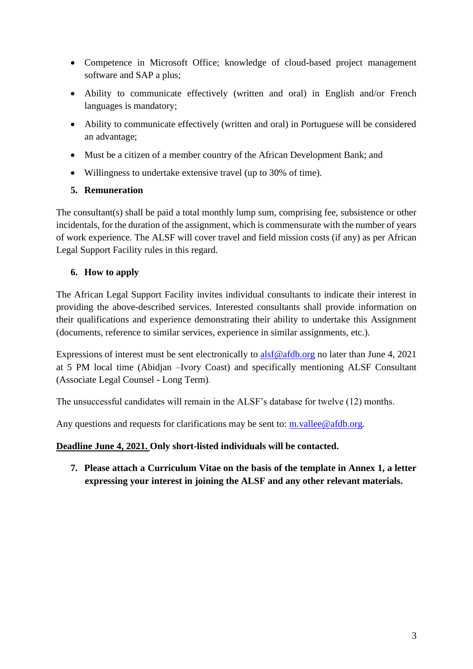- Competence in Microsoft Office; knowledge of cloud-based project management software and SAP a plus;
- Ability to communicate effectively (written and oral) in English and/or French languages is mandatory;
- Ability to communicate effectively (written and oral) in Portuguese will be considered an advantage;
- Must be a citizen of a member country of the African Development Bank; and
- Willingness to undertake extensive travel (up to 30% of time).

# **5. Remuneration**

The consultant(s) shall be paid a total monthly lump sum, comprising fee, subsistence or other incidentals, for the duration of the assignment, which is commensurate with the number of years of work experience. The ALSF will cover travel and field mission costs (if any) as per African Legal Support Facility rules in this regard.

# **6. How to apply**

The African Legal Support Facility invites individual consultants to indicate their interest in providing the above-described services. Interested consultants shall provide information on their qualifications and experience demonstrating their ability to undertake this Assignment (documents, reference to similar services, experience in similar assignments, etc.).

Expressions of interest must be sent electronically to  $\frac{alsf@afdb.org}{s}$  $\frac{alsf@afdb.org}{s}$  $\frac{alsf@afdb.org}{s}$  no later than June 4, 2021 at 5 PM local time (Abidjan –Ivory Coast) and specifically mentioning ALSF Consultant (Associate Legal Counsel - Long Term)*.*

The unsuccessful candidates will remain in the ALSF's database for twelve (12) months.

Any questions and requests for clarifications may be sent to: [m.vallee@afdb.org.](mailto:m.vallee@afdb.org)

**Deadline June 4, 2021. Only short-listed individuals will be contacted.**

**7. Please attach a Curriculum Vitae on the basis of the template in Annex 1, a letter expressing your interest in joining the ALSF and any other relevant materials.**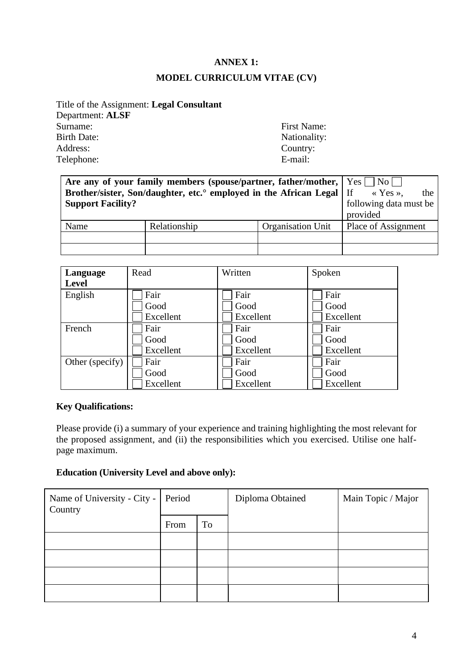## **ANNEX 1:**

# **MODEL CURRICULUM VITAE (CV)**

Title of the Assignment: **Legal Consultant** Department: **ALSF** Surname: First Name: Birth Date: Nationality: Nationality: Address: Country: Telephone: E-mail:

| Are any of your family members (spouse/partner, father/mother, $ $ Yes $ $ No $ $ |                         |                   |                        |
|-----------------------------------------------------------------------------------|-------------------------|-------------------|------------------------|
| Brother/sister, Son/daughter, etc. employed in the African Legal   If             | $\langle$ Yes »,<br>the |                   |                        |
| <b>Support Facility?</b>                                                          |                         |                   | following data must be |
|                                                                                   |                         |                   | provided               |
| Name                                                                              | Relationship            | Organisation Unit | Place of Assignment    |
|                                                                                   |                         |                   |                        |
|                                                                                   |                         |                   |                        |

| Language        | Read      | Written   | Spoken    |
|-----------------|-----------|-----------|-----------|
| <b>Level</b>    |           |           |           |
| English         | Fair      | Fair      | Fair      |
|                 | Good      | Good      | Good      |
|                 | Excellent | Excellent | Excellent |
| French          | Fair      | Fair      | Fair      |
|                 | Good      | Good      | Good      |
|                 | Excellent | Excellent | Excellent |
| Other (specify) | Fair      | Fair      | Fair      |
|                 | Good      | Good      | Good      |
|                 | Excellent | Excellent | Excellent |

## **Key Qualifications:**

Please provide (i) a summary of your experience and training highlighting the most relevant for the proposed assignment, and (ii) the responsibilities which you exercised. Utilise one halfpage maximum.

#### **Education (University Level and above only):**

| Name of University - City -<br>Country | Period |    | Diploma Obtained | Main Topic / Major |
|----------------------------------------|--------|----|------------------|--------------------|
|                                        | From   | To |                  |                    |
|                                        |        |    |                  |                    |
|                                        |        |    |                  |                    |
|                                        |        |    |                  |                    |
|                                        |        |    |                  |                    |